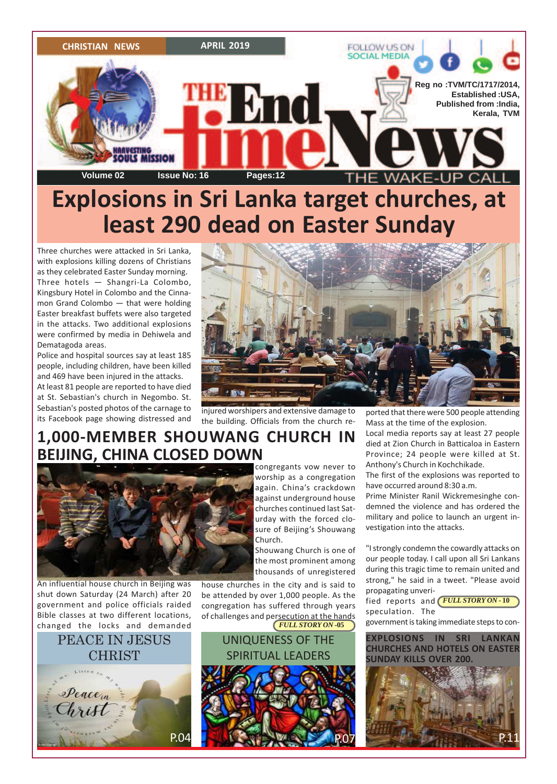

# **Explosions in Sri Lanka target churches, at least 290 dead on Easter Sunday**

Three churches were attacked in Sri Lanka, with explosions killing dozens of Christians as they celebrated Easter Sunday morning. Three hotels — Shangri-La Colombo, Kingsbury Hotel in Colombo and the Cinnamon Grand Colombo — that were holding Easter breakfast buffets were also targeted in the attacks. Two additional explosions were confirmed by media in Dehiwela and Dematagoda areas.

Police and hospital sources say at least 185 people, including children, have been killed and 469 have been injured in the attacks.

At least 81 people are reported to have died at St. Sebastian's church in Negombo. St. Sebastian's posted photos of the carnage to its Facebook page showing distressed and



injured worshipers and extensive damage to the building. Officials from the church reported that there were 500 people attending Mass at the time of the explosion.

Local media reports say at least 27 people died at Zion Church in Batticaloa in Eastern Province; 24 people were killed at St. Anthony's Church in Kochchikade.

The first of the explosions was reported to have occurred around 8:30 a.m.

Prime Minister Ranil Wickremesinghe condemned the violence and has ordered the military and police to launch an urgent investigation into the attacks.

"I strongly condemn the cowardly attacks on our people today. I call upon all Sri Lankans during this tragic time to remain united and strong," he said in a tweet. "Please avoid propagating unveri-

*FULL STORY ON* **- 10** fied reports and speculation. The government is taking immediate steps to con-

**EXPLOSIONS IN SRI LANKAN CHURCHES AND HOTELS ON EASTER SUNDAY KILLS OVER 200.**



# **1,000-MEMBER SHOUWANG CHURCH IN BEIJING, CHINA CLOSED DOWN**



An influential house church in Beijing was shut down Saturday (24 March) after 20 government and police officials raided Bible classes at two different locations, changed the locks and demanded

# PEACE IN JESUS **CHRIST**



congregants vow never to worship as a congregation again. China's crackdown against underground house churches continued last Saturday with the forced closure of Beijing's Shouwang Church.

Shouwang Church is one of the most prominent among thousands of unregistered

house churches in the city and is said to be attended by over 1,000 people. As the congregation has suffered through years of challenges and persecution at the hands *FULL STORY ON* **-05**

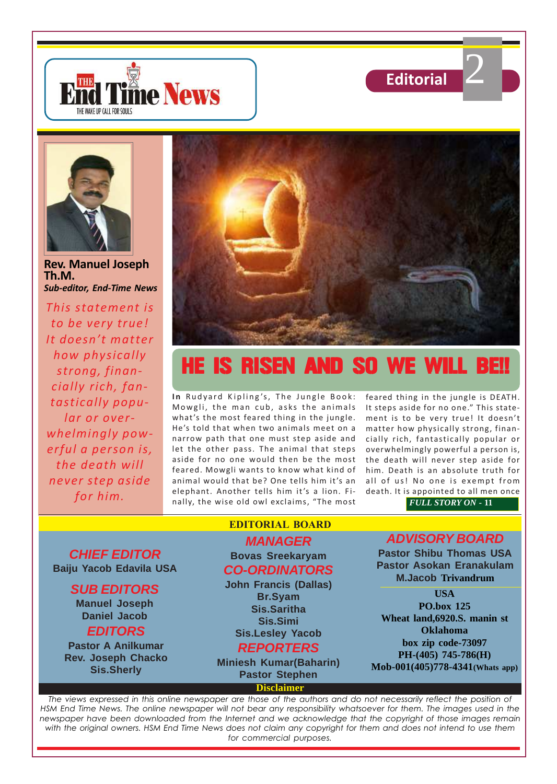





**Rev. Manuel Joseph Th.M.** *Sub-editor, End-Time News*

*This statement is to be very true! It doesn't matter how physically strong, financially rich, fantastically popular or overwhelmingly powerful a person is, the death will never step aside for him.*



# HE IS RISEN AND SO WE WILL BE!!

In Rudyard Kipling's, The Jungle Book: Mowgli, the man cub, asks the animals what's the most feared thing in the jungle. He's told that when two animals meet on a narrow path that one must step aside and let the other pass. The animal that steps aside for no one would then be the most feared. Mowgli wants to know what kind of animal would that be? One tells him it's an elephant. Another tells him it's a lion. Finally, the wise old owl exclaims, "The most

feared thing in the jungle is DEATH. It steps aside for no one." This statement is to be very true! It doesn't matter how physically strong, financially rich, fantastically popular or overwhelmingly powerful a person is, the death will never step aside for him. Death is an absolute truth for all of us! No one is exempt from death. It is appointed to all men once

*FULL STORY ON* **- 11**

**CHIEF EDITOR Baiju Yacob Edavila USA**

# **SUB EDITORS**

**Manuel Joseph Daniel Jacob**

**EDITORS Pastor A Anilkumar**

**Rev. Joseph Chacko Sis.Sherly**

# **EDITORIAL BOARD**

# **MANAGER Bovas Sreekaryam CO-ORDINATORS**

**John Francis (Dallas) Br.Syam Sis.Saritha Sis.Simi Sis.Lesley Yacob**

# **REPORTERS**

**Miniesh Kumar(Baharin) Pastor Stephen**

**Disclaimer**

# **ADVISORY BOARD**

**Pastor Shibu Thomas USA Pastor Asokan Eranakulam M.Jacob Trivandrum**

## **USA PO.box 125 Wheat land,6920.S. manin st Oklahoma box zip code-73097 PH-(405) 745-786(H) Mob-001(405)778-4341(Whats app)**

*The views expressed in this online newspaper are those of the authors and do not necessarily reflect the position of HSM End Time News. The online newspaper will not bear any responsibility whatsoever for them. The images used in the newspaper have been downloaded from the Internet and we acknowledge that the copyright of those images remain with the original owners. HSM End Time News does not claim any copyright for them and does not intend to use them for commercial purposes.*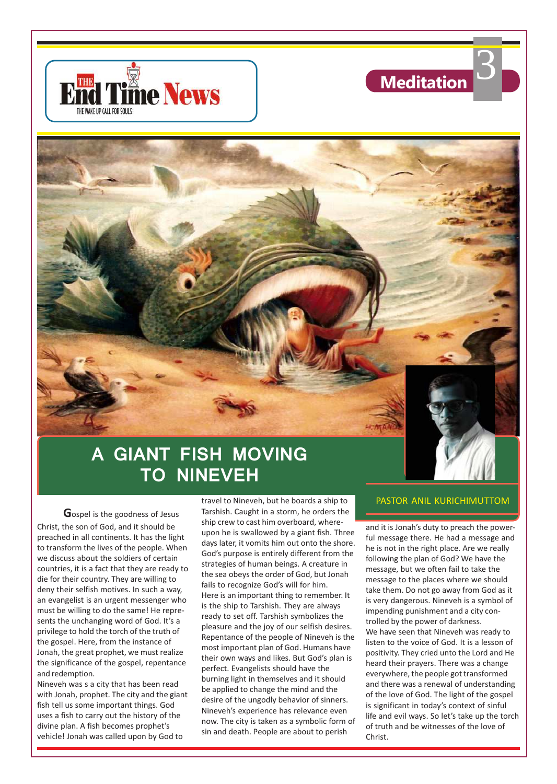



# **GIANT FISH MOVING TO NINEVEH**

**G**ospel is the goodness of Jesus Christ, the son of God, and it should be preached in all continents. It has the light to transform the lives of the people. When we discuss about the soldiers of certain countries, it is a fact that they are ready to die for their country. They are willing to deny their selfish motives. In such a way, an evangelist is an urgent messenger who must be willing to do the same! He represents the unchanging word of God. It's a privilege to hold the torch of the truth of the gospel. Here, from the instance of Jonah, the great prophet, we must realize the significance of the gospel, repentance and redemption.

Nineveh was s a city that has been read with Jonah, prophet. The city and the giant fish tell us some important things. God uses a fish to carry out the history of the divine plan. A fish becomes prophet's vehicle! Jonah was called upon by God to

travel to Nineveh, but he boards a ship to Tarshish. Caught in a storm, he orders the ship crew to cast him overboard, whereupon he is swallowed by a giant fish. Three days later, it vomits him out onto the shore. God's purpose is entirely different from the strategies of human beings. A creature in the sea obeys the order of God, but Jonah fails to recognize God's will for him. Here is an important thing to remember. It is the ship to Tarshish. They are always ready to set off. Tarshish symbolizes the pleasure and the joy of our selfish desires. Repentance of the people of Nineveh is the most important plan of God. Humans have their own ways and likes. But God's plan is perfect. Evangelists should have the burning light in themselves and it should be applied to change the mind and the desire of the ungodly behavior of sinners. Nineveh's experience has relevance even now. The city is taken as a symbolic form of sin and death. People are about to perish

### PASTOR ANIL KURICHIMUTTOM

and it is Jonah's duty to preach the powerful message there. He had a message and he is not in the right place. Are we really following the plan of God? We have the message, but we often fail to take the message to the places where we should take them. Do not go away from God as it is very dangerous. Nineveh is a symbol of impending punishment and a city controlled by the power of darkness. We have seen that Nineveh was ready to listen to the voice of God. It is a lesson of positivity. They cried unto the Lord and He heard their prayers. There was a change everywhere, the people got transformed and there was a renewal of understanding of the love of God. The light of the gospel is significant in today's context of sinful life and evil ways. So let's take up the torch of truth and be witnesses of the love of Christ.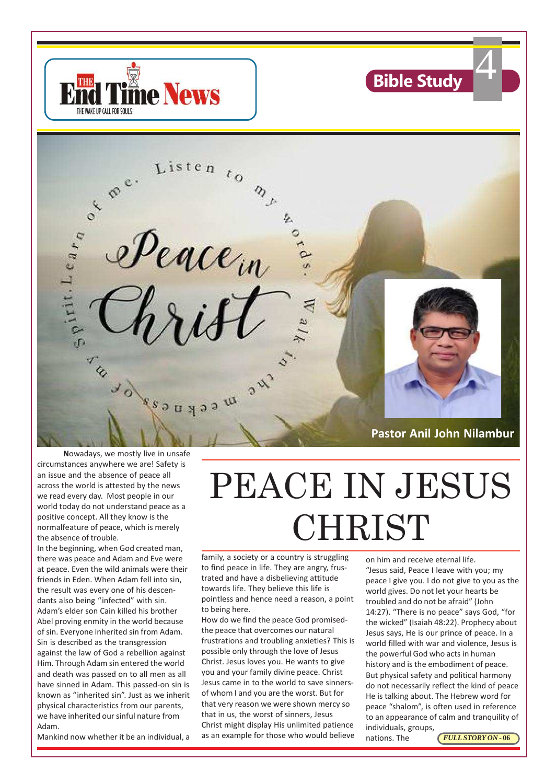



**N**owadays, we mostly live in unsafe circumstances anywhere we are! Safety is an issue and the absence of peace all across the world is attested by the news we read every day. Most people in our world today do not understand peace as a positive concept. All they know is the normalfeature of peace, which is merely the absence of trouble.

In the beginning, when God created man, there was peace and Adam and Eve were at peace. Even the wild animals were their friends in Eden. When Adam fell into sin, the result was every one of his descendants also being "infected" with sin. Adam's elder son Cain killed his brother Abel proving enmity in the world because of sin. Everyone inherited sin from Adam. Sin is described as the transgression against the law of God a rebellion against Him. Through Adam sin entered the world and death was passed on to all men as all have sinned in Adam. This passed-on sin is known as "inherited sin". Just as we inherit physical characteristics from our parents, we have inherited our sinful nature from Adam.

Mankind now whether it be an individual, a

# PEACE IN JESUS CHRIST

family, a society or a country is struggling to find peace in life. They are angry, frustrated and have a disbelieving attitude towards life. They believe this life is pointless and hence need a reason, a point to being here.

How do we find the peace God promisedthe peace that overcomes our natural frustrations and troubling anxieties? This is possible only through the love of Jesus Christ. Jesus loves you. He wants to give you and your family divine peace. Christ Jesus came in to the world to save sinnersof whom I and you are the worst. But for that very reason we were shown mercy so that in us, the worst of sinners, Jesus Christ might display His unlimited patience as an example for those who would believe

on him and receive eternal life. "Jesus said, Peace I leave with you; my peace I give you. I do not give to you as the world gives. Do not let your hearts be troubled and do not be afraid" (John 14:27). "There is no peace" says God, "for the wicked" (Isaiah 48:22). Prophecy about Jesus says, He is our prince of peace. In a world filled with war and violence, Jesus is the powerful God who acts in human history and is the embodiment of peace. But physical safety and political harmony do not necessarily reflect the kind of peace He is talking about. The Hebrew word for peace "shalom", is often used in reference to an appearance of calm and tranquility of individuals, groups,

**Bible Study** 

nations. The

![](_page_3_Picture_10.jpeg)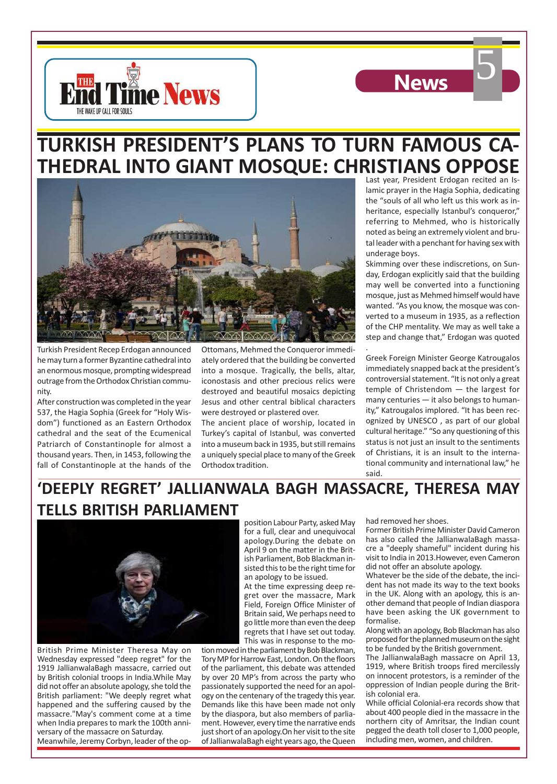![](_page_4_Picture_0.jpeg)

![](_page_4_Picture_1.jpeg)

![](_page_4_Picture_2.jpeg)

Turkish President Recep Erdogan announced he may turn a former Byzantine cathedral into an enormous mosque, prompting widespread outrage from the Orthodox Christian community.

After construction was completed in the year 537, the Hagia Sophia (Greek for "Holy Wisdom") functioned as an Eastern Orthodox cathedral and the seat of the Ecumenical Patriarch of Constantinople for almost a thousand years. Then, in 1453, following the fall of Constantinople at the hands of the

Ottomans, Mehmed the Conqueror immediately ordered that the building be converted into a mosque. Tragically, the bells, altar, iconostasis and other precious relics were destroyed and beautiful mosaics depicting Jesus and other central biblical characters were destroyed or plastered over.

The ancient place of worship, located in Turkey's capital of Istanbul, was converted into a museum back in 1935, but still remains a uniquely special place to many of the Greek Orthodox tradition.

Last year, President Erdogan recited an Islamic prayer in the Hagia Sophia, dedicating the "souls of all who left us this work as inheritance, especially Istanbul's conqueror," referring to Mehmed, who is historically noted as being an extremely violent and brutal leader with a penchant for having sex with underage boys.

**News** 

Skimming over these indiscretions, on Sunday, Erdogan explicitly said that the building may well be converted into a functioning mosque, just as Mehmed himself would have wanted. "As you know, the mosque was converted to a museum in 1935, as a reflection of the CHP mentality. We may as well take a step and change that," Erdogan was quoted

Greek Foreign Minister George Katrougalos immediately snapped back at the president's controversial statement. "It is not only a great temple of Christendom — the largest for many centuries — it also belongs to humanity," Katrougalos implored. "It has been recognized by UNESCO , as part of our global cultural heritage." "So any questioning of this status is not just an insult to the sentiments of Christians, it is an insult to the international community and international law," he said.

# **'DEEPLY REGRET' JALLIANWALA BAGH MASSACRE, THERESA MAY TELLS BRITISH PARLIAMENT**

![](_page_4_Picture_11.jpeg)

British Prime Minister Theresa May on Wednesday expressed "deep regret" for the 1919 JallianwalaBagh massacre, carried out by British colonial troops in India.While May did not offer an absolute apology, she told the British parliament: "We deeply regret what happened and the suffering caused by the massacre."May's comment come at a time when India prepares to mark the 100th anniversary of the massacre on Saturday. Meanwhile, Jeremy Corbyn, leader of the op-

position Labour Party, asked May for a full, clear and unequivocal apology.During the debate on April 9 on the matter in the British Parliament, Bob Blackman insisted this to be the right time for an apology to be issued.

At the time expressing deep regret over the massacre, Mark Field, Foreign Office Minister of Britain said, We perhaps need to go little more than even the deep regrets that I have set out today. This was in response to the mo-

tion moved in the parliament by Bob Blackman, Tory MP for Harrow East, London. On the floors of the parliament, this debate was attended by over 20 MP's from across the party who passionately supported the need for an apology on the centenary of the tragedy this year. Demands like this have been made not only by the diaspora, but also members of parliament. However, every time the narrative ends just short of an apology.On her visit to the site of JallianwalaBagh eight years ago, the Queen had removed her shoes.

.

Former British Prime Minister David Cameron has also called the JallianwalaBagh massacre a "deeply shameful" incident during his visit to India in 2013.However, even Cameron did not offer an absolute apology.

Whatever be the side of the debate, the incident has not made its way to the text books in the UK. Along with an apology, this is another demand that people of Indian diaspora have been asking the UK government to formalise.

Along with an apology, Bob Blackman has also proposed for the planned museum on the sight to be funded by the British government.

The JallianwalaBagh massacre on April 13, 1919, where British troops fired mercilessly on innocent protestors, is a reminder of the oppression of Indian people during the British colonial era.

While official Colonial-era records show that about 400 people died in the massacre in the northern city of Amritsar, the Indian count pegged the death toll closer to 1,000 people, including men, women, and children.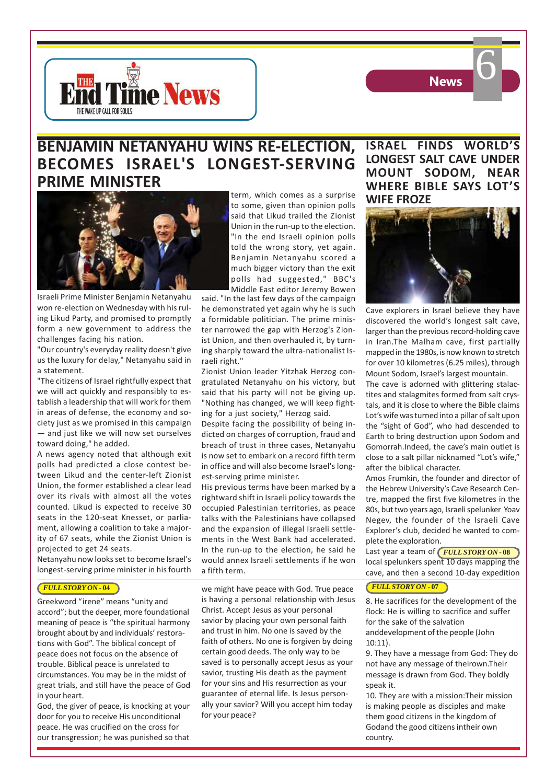![](_page_5_Picture_0.jpeg)

![](_page_5_Picture_1.jpeg)

# **BENJAMIN NETANYAHU WINS RE-ELECTION, BECOMES ISRAEL'S LONGEST-SERVING PRIME MINISTER**

![](_page_5_Picture_3.jpeg)

Israeli Prime Minister Benjamin Netanyahu won re-election on Wednesday with his ruling Likud Party, and promised to promptly form a new government to address the challenges facing his nation.

"Our country's everyday reality doesn't give us the luxury for delay," Netanyahu said in a statement.

"The citizens of Israel rightfully expect that we will act quickly and responsibly to establish a leadership that will work for them in areas of defense, the economy and society just as we promised in this campaign — and just like we will now set ourselves toward doing," he added.

A news agency noted that although exit polls had predicted a close contest between Likud and the center-left Zionist Union, the former established a clear lead over its rivals with almost all the votes counted. Likud is expected to receive 30 seats in the 120-seat Knesset, or parliament, allowing a coalition to take a majority of 67 seats, while the Zionist Union is projected to get 24 seats.

Netanyahu now looks set to become Israel's longest-serving prime minister in his fourth

### *FULL STORY ON* **- 04**

Greekword "irene" means "unity and accord"; but the deeper, more foundational meaning of peace is "the spiritual harmony brought about by and individuals' restorations with God". The biblical concept of peace does not focus on the absence of trouble. Biblical peace is unrelated to circumstances. You may be in the midst of great trials, and still have the peace of God in your heart.

God, the giver of peace, is knocking at your door for you to receive His unconditional peace. He was crucified on the cross for our transgression; he was punished so that

term, which comes as a surprise to some, given than opinion polls said that Likud trailed the Zionist Union in the run-up to the election. "In the end Israeli opinion polls told the wrong story, yet again. Benjamin Netanyahu scored a much bigger victory than the exit polls had suggested," BBC's Middle East editor Jeremy Bowen

said. "In the last few days of the campaign he demonstrated yet again why he is such a formidable politician. The prime minister narrowed the gap with Herzog's Zionist Union, and then overhauled it, by turning sharply toward the ultra-nationalist Israeli right."

Zionist Union leader Yitzhak Herzog congratulated Netanyahu on his victory, but said that his party will not be giving up. "Nothing has changed, we will keep fighting for a just society," Herzog said.

Despite facing the possibility of being indicted on charges of corruption, fraud and breach of trust in three cases, Netanyahu is now set to embark on a record fifth term in office and will also become Israel's longest-serving prime minister.

His previous terms have been marked by a rightward shift in Israeli policy towards the occupied Palestinian territories, as peace talks with the Palestinians have collapsed and the expansion of illegal Israeli settlements in the West Bank had accelerated. In the run-up to the election, he said he would annex Israeli settlements if he won a fifth term.

we might have peace with God. True peace is having a personal relationship with Jesus Christ. Accept Jesus as your personal savior by placing your own personal faith and trust in him. No one is saved by the faith of others. No one is forgiven by doing certain good deeds. The only way to be saved is to personally accept Jesus as your savior, trusting His death as the payment for your sins and His resurrection as your guarantee of eternal life. Is Jesus personally your savior? Will you accept him today for your peace?

# **ISRAEL FINDS WORLD'S LONGEST SALT CAVE UNDER MOUNT SODOM, NEAR WHERE BIBLE SAYS LOT'S WIFE FROZE**

![](_page_5_Picture_19.jpeg)

Cave explorers in Israel believe they have discovered the world's longest salt cave, larger than the previous record-holding cave in Iran.The Malham cave, first partially mapped in the 1980s, is now known to stretch for over 10 kilometres (6.25 miles), through Mount Sodom, Israel's largest mountain. The cave is adorned with glittering stalactites and stalagmites formed from salt crystals, and it is close to where the Bible claims Lot's wife was turned into a pillar of salt upon the "sight of God", who had descended to Earth to bring destruction upon Sodom and Gomorrah.Indeed, the cave's main outlet is close to a salt pillar nicknamed "Lot's wife," after the biblical character.

Amos Frumkin, the founder and director of the Hebrew University's Cave Research Centre, mapped the first five kilometres in the 80s, but two years ago, Israeli spelunker Yoav Negev, the founder of the Israeli Cave Explorer's club, decided he wanted to complete the exploration.

Last year a team of **FULL STORY ON - 08** local spelunkers spent 10 days mapping the cave, and then a second 10-day expedition

### *FULL STORY ON* **- 07**

8. He sacrifices for the development of the flock: He is willing to sacrifice and suffer for the sake of the salvation anddevelopment of the people (John 10:11).

9. They have a message from God: They do not have any message of theirown.Their message is drawn from God. They boldly speak it.

10. They are with a mission:Their mission is making people as disciples and make them good citizens in the kingdom of Godand the good citizens intheir own country.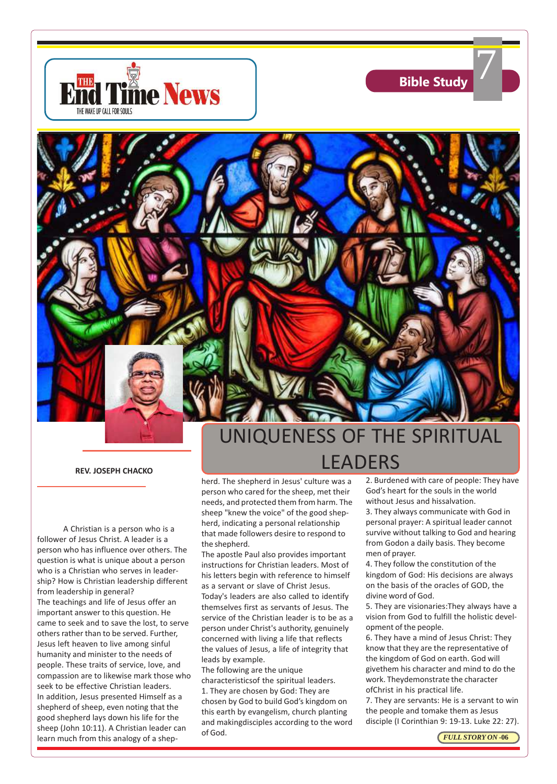![](_page_6_Picture_0.jpeg)

![](_page_6_Picture_1.jpeg)

**REV. JOSEPH CHACKO**

A Christian is a person who is a follower of Jesus Christ. A leader is a person who has influence over others. The question is what is unique about a person who is a Christian who serves in leadership? How is Christian leadership different from leadership in general? The teachings and life of Jesus offer an important answer to this question. He came to seek and to save the lost, to serve others rather than to be served. Further, Jesus left heaven to live among sinful humanity and minister to the needs of people. These traits of service, love, and compassion are to likewise mark those who seek to be effective Christian leaders. In addition, Jesus presented Himself as a shepherd of sheep, even noting that the good shepherd lays down his life for the sheep (John 10:11). A Christian leader can learn much from this analogy of a shep-

# UNIQUENESS OF THE SPIRITUAL LEADERS

herd. The shepherd in Jesus' culture was a person who cared for the sheep, met their needs, and protected them from harm. The sheep "knew the voice" of the good shepherd, indicating a personal relationship that made followers desire to respond to the shepherd.

The apostle Paul also provides important instructions for Christian leaders. Most of his letters begin with reference to himself as a servant or slave of Christ Jesus. Today's leaders are also called to identify themselves first as servants of Jesus. The service of the Christian leader is to be as a person under Christ's authority, genuinely concerned with living a life that reflects the values of Jesus, a life of integrity that leads by example.

The following are the unique characteristicsof the spiritual leaders. 1. They are chosen by God: They are chosen by God to build God's kingdom on this earth by evangelism, church planting and makingdisciples according to the word of God.

2. Burdened with care of people: They have God's heart for the souls in the world without Jesus and hissalvation.

3. They always communicate with God in personal prayer: A spiritual leader cannot survive without talking to God and hearing from Godon a daily basis. They become men of prayer.

4. They follow the constitution of the kingdom of God: His decisions are always on the basis of the oracles of GOD, the divine word of God.

5. They are visionaries:They always have a vision from God to fulfill the holistic development of the people.

6. They have a mind of Jesus Christ: They know that they are the representative of the kingdom of God on earth. God will givethem his character and mind to do the work. Theydemonstrate the character ofChrist in his practical life.

7. They are servants: He is a servant to win the people and tomake them as Jesus disciple (I Corinthian 9: 19-13. Luke 22: 27).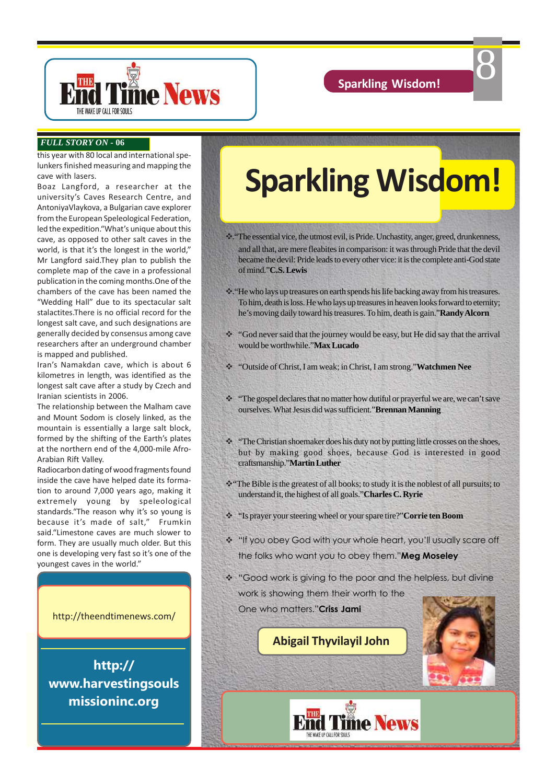8

![](_page_7_Picture_1.jpeg)

### *FULL STORY ON* **- 06**

this year with 80 local and international spelunkers finished measuring and mapping the cave with lasers.

Boaz Langford, a researcher at the university's Caves Research Centre, and AntoniyaVlaykova, a Bulgarian cave explorer from the European Speleological Federation, led the expedition."What's unique about this cave, as opposed to other salt caves in the world, is that it's the longest in the world," Mr Langford said.They plan to publish the complete map of the cave in a professional publication in the coming months.One of the chambers of the cave has been named the "Wedding Hall" due to its spectacular salt stalactites.There is no official record for the longest salt cave, and such designations are generally decided by consensus among cave researchers after an underground chamber is mapped and published.

Iran's Namakdan cave, which is about 6 kilometres in length, was identified as the longest salt cave after a study by Czech and Iranian scientists in 2006.

The relationship between the Malham cave and Mount Sodom is closely linked, as the mountain is essentially a large salt block, formed by the shifting of the Earth's plates at the northern end of the 4,000-mile Afro-Arabian Rift Valley.

Radiocarbon dating of wood fragments found inside the cave have helped date its formation to around 7,000 years ago, making it extremely young by speleological standards."The reason why it's so young is because it's made of salt," Frumkin said."Limestone caves are much slower to form. They are usually much older. But this one is developing very fast so it's one of the youngest caves in the world."

http://theendtimenews.com/

**http:// www.harvestingsouls missioninc.org**

# **Sparkling Wisdom!**

\*\*: "The essential vice, the utmost evil, is Pride. Unchastity, anger, greed, drunkenness, and all that, are mere fleabites in comparison: it was through Pride that the devil became the devil: Pride leads to every other vice: it is the complete anti-God state of mind."**C.S. Lewis**

- v."He who lays up treasures on earth spends his life backing away from his treasures. To him, death is loss. He who lays up treasures in heaven looks forward to eternity; he's moving daily toward his treasures. To him, death is gain."**Randy Alcorn**
- \* "God never said that the journey would be easy, but He did say that the arrival would be worthwhile."**Max Lucado**
- v "Outside of Christ, I am weak; in Christ, I am strong."**Watchmen Nee**
- \* "The gospel declares that no matter how dutiful or prayerful we are, we can't save ourselves. What Jesus did was sufficient."**Brennan Manning**
- v "The Christian shoemaker does his duty not by putting little crosses on the shoes, but by making good shoes, because God is interested in good craftsmanship."**Martin Luther**
- v"The Bible is the greatest of all books; to study it is the noblest of all pursuits; to understand it, the highest of all goals."**Charles C. Ryrie**
- v "Is prayer your steering wheel or your spare tire?"**Corrie ten Boom**
- \* "If you obey God with your whole heart, you'll usually scare off the folks who want you to obey them."**Meg Moseley**
- "Good work is giving to the poor and the helpless, but divine work is showing them their worth to the
- One who matters."**Criss Jami**

# **Abigail Thyvilayil John**

![](_page_7_Picture_23.jpeg)

![](_page_7_Picture_24.jpeg)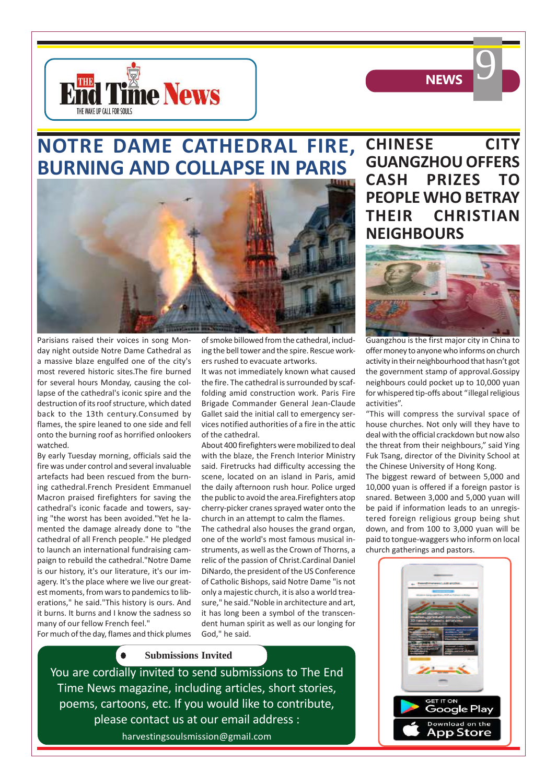![](_page_8_Picture_0.jpeg)

![](_page_8_Picture_1.jpeg)

# **NOTRE DAME CATHEDRAL FIRE, BURNING AND COLLAPSE IN PARIS**

![](_page_8_Picture_3.jpeg)

Parisians raised their voices in song Monday night outside Notre Dame Cathedral as a massive blaze engulfed one of the city's most revered historic sites.The fire burned for several hours Monday, causing the collapse of the cathedral's iconic spire and the destruction of its roof structure, which dated back to the 13th century.Consumed by flames, the spire leaned to one side and fell onto the burning roof as horrified onlookers watched.

By early Tuesday morning, officials said the fire was under control and several invaluable artefacts had been rescued from the burning cathedral.French President Emmanuel Macron praised firefighters for saving the cathedral's iconic facade and towers, saying "the worst has been avoided."Yet he lamented the damage already done to "the cathedral of all French people." He pledged to launch an international fundraising campaign to rebuild the cathedral."Notre Dame is our history, it's our literature, it's our imagery. It's the place where we live our greatest moments, from wars to pandemics to liberations," he said."This history is ours. And it burns. It burns and I know the sadness so many of our fellow French feel."

of smoke billowed from the cathedral, including the bell tower and the spire. Rescue workers rushed to evacuate artworks.

It was not immediately known what caused the fire. The cathedral is surrounded by scaffolding amid construction work. Paris Fire Brigade Commander General Jean-Claude Gallet said the initial call to emergency services notified authorities of a fire in the attic of the cathedral.

About 400 firefighters were mobilized to deal with the blaze, the French Interior Ministry said. Firetrucks had difficulty accessing the scene, located on an island in Paris, amid the daily afternoon rush hour. Police urged the public to avoid the area.Firefighters atop cherry-picker cranes sprayed water onto the church in an attempt to calm the flames.

The cathedral also houses the grand organ, one of the world's most famous musical instruments, as well as the Crown of Thorns, a relic of the passion of Christ.Cardinal Daniel DiNardo, the president of the US Conference of Catholic Bishops, said Notre Dame "is not only a majestic church, it is also a world treasure," he said."Noble in architecture and art, it has long been a symbol of the transcendent human spirit as well as our longing for God," he said.

For much of the day, flames and thick plumes

### **Submissions Invited**

poems, cartoons, etc. If you would like to contribute, You are cordially invited to send submissions to The End Time News magazine, including articles, short stories, please contact us at our email address : harvestingsoulsmission@gmail.com

**CHINESE CITY GUANGZHOU OFFERS CASH PRIZES TO PEOPLE WHO BETRAY THEIR CHRISTIAN NEIGHBOURS**

![](_page_8_Picture_14.jpeg)

Guangzhou is the first major city in China to offer money to anyone who informs on church activity in their neighbourhood that hasn't got the government stamp of approval.Gossipy neighbours could pocket up to 10,000 yuan for whispered tip-offs about "illegal religious activities".

"This will compress the survival space of house churches. Not only will they have to deal with the official crackdown but now also the threat from their neighbours," said Ying Fuk Tsang, director of the Divinity School at the Chinese University of Hong Kong.

The biggest reward of between 5,000 and 10,000 yuan is offered if a foreign pastor is snared. Between 3,000 and 5,000 yuan will be paid if information leads to an unregistered foreign religious group being shut down, and from 100 to 3,000 yuan will be paid to tongue-waggers who inform on local church gatherings and pastors.

![](_page_8_Picture_18.jpeg)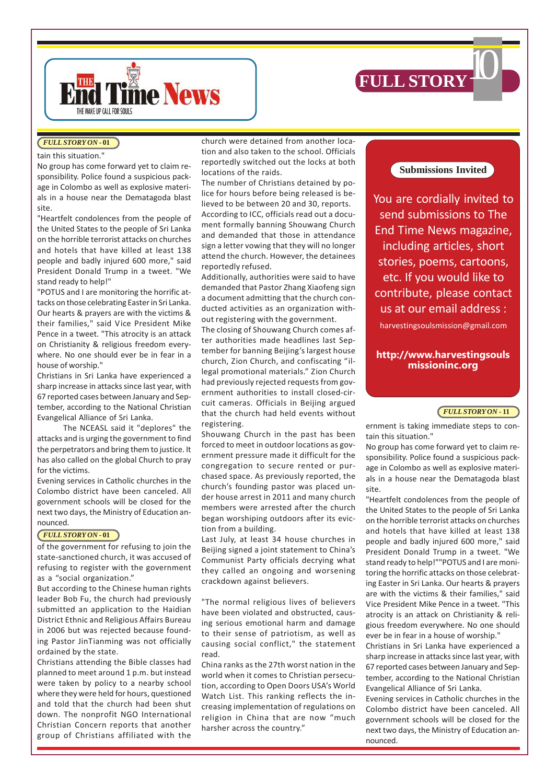![](_page_9_Picture_0.jpeg)

![](_page_9_Picture_1.jpeg)

### *FULL STORY ON* **- 01**

### tain this situation."

No group has come forward yet to claim responsibility. Police found a suspicious package in Colombo as well as explosive materials in a house near the Dematagoda blast site.

"Heartfelt condolences from the people of the United States to the people of Sri Lanka on the horrible terrorist attacks on churches and hotels that have killed at least 138 people and badly injured 600 more," said President Donald Trump in a tweet. "We stand ready to help!"

"POTUS and I are monitoring the horrific attacks on those celebrating Easter in Sri Lanka. Our hearts & prayers are with the victims & their families," said Vice President Mike Pence in a tweet. "This atrocity is an attack on Christianity & religious freedom everywhere. No one should ever be in fear in a house of worship."

Christians in Sri Lanka have experienced a sharp increase in attacks since last year, with 67 reported cases between January and September, according to the National Christian Evangelical Alliance of Sri Lanka.

The NCEASL said it "deplores" the attacks and is urging the government to find the perpetrators and bring them to justice. It has also called on the global Church to pray for the victims.

Evening services in Catholic churches in the Colombo district have been canceled. All government schools will be closed for the next two days, the Ministry of Education announced.

### *FULL STORY ON* **- 01**

of the government for refusing to join the state-sanctioned church, it was accused of refusing to register with the government as a "social organization."

But according to the Chinese human rights leader Bob Fu, the church had previously submitted an application to the Haidian District Ethnic and Religious Affairs Bureau in 2006 but was rejected because founding Pastor JinTianming was not officially ordained by the state.

Christians attending the Bible classes had planned to meet around 1 p.m. but instead were taken by policy to a nearby school where they were held for hours, questioned and told that the church had been shut down. The nonprofit NGO International Christian Concern reports that another group of Christians affiliated with the

church were detained from another location and also taken to the school. Officials reportedly switched out the locks at both locations of the raids.

The number of Christians detained by police for hours before being released is believed to be between 20 and 30, reports. According to ICC, officials read out a document formally banning Shouwang Church and demanded that those in attendance sign a letter vowing that they will no longer attend the church. However, the detainees reportedly refused.

Additionally, authorities were said to have demanded that Pastor Zhang Xiaofeng sign a document admitting that the church conducted activities as an organization without registering with the government.

The closing of Shouwang Church comes after authorities made headlines last September for banning Beijing's largest house church, Zion Church, and confiscating "illegal promotional materials." Zion Church had previously rejected requests from government authorities to install closed-circuit cameras. Officials in Beijing argued that the church had held events without registering.

Shouwang Church in the past has been forced to meet in outdoor locations as government pressure made it difficult for the congregation to secure rented or purchased space. As previously reported, the church's founding pastor was placed under house arrest in 2011 and many church members were arrested after the church began worshiping outdoors after its eviction from a building.

Last July, at least 34 house churches in Beijing signed a joint statement to China's Communist Party officials decrying what they called an ongoing and worsening crackdown against believers.

"The normal religious lives of believers have been violated and obstructed, causing serious emotional harm and damage to their sense of patriotism, as well as causing social conflict," the statement read.

China ranks as the 27th worst nation in the world when it comes to Christian persecution, according to Open Doors USA's World Watch List. This ranking reflects the increasing implementation of regulations on religion in China that are now "much harsher across the country."

## **Submissions Invited**

You are cordially invited to send submissions to The End Time News magazine, including articles, short stories, poems, cartoons, etc. If you would like to contribute, please contact us at our email address : harvestingsoulsmission@gmail.com

### **http://www.harvestingsouls missioninc.org**

### *FULL STORY ON* **- 11**

ernment is taking immediate steps to contain this situation."

No group has come forward yet to claim responsibility. Police found a suspicious package in Colombo as well as explosive materials in a house near the Dematagoda blast site.

"Heartfelt condolences from the people of the United States to the people of Sri Lanka on the horrible terrorist attacks on churches and hotels that have killed at least 138 people and badly injured 600 more," said President Donald Trump in a tweet. "We stand ready to help!""POTUS and I are monitoring the horrific attacks on those celebrating Easter in Sri Lanka. Our hearts & prayers are with the victims & their families," said Vice President Mike Pence in a tweet. "This atrocity is an attack on Christianity & religious freedom everywhere. No one should ever be in fear in a house of worship."

Christians in Sri Lanka have experienced a sharp increase in attacks since last year, with 67 reported cases between January and September, according to the National Christian Evangelical Alliance of Sri Lanka.

Evening services in Catholic churches in the Colombo district have been canceled. All government schools will be closed for the next two days, the Ministry of Education announced.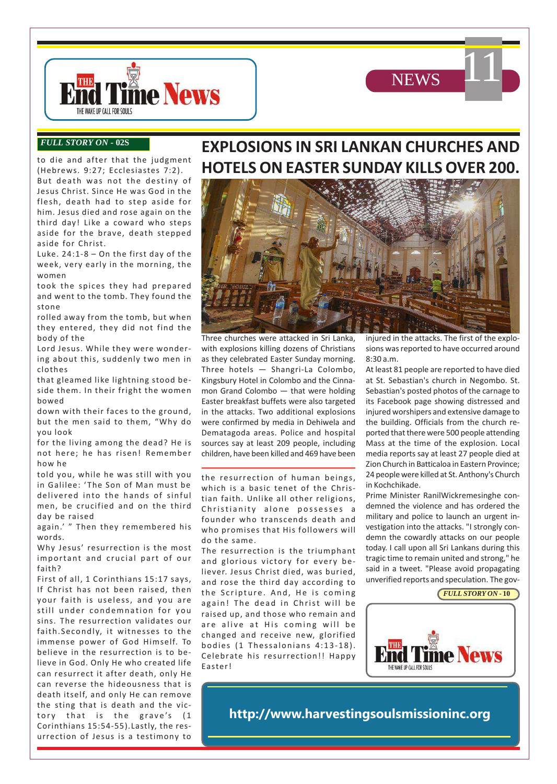![](_page_10_Picture_0.jpeg)

11

![](_page_10_Picture_1.jpeg)

### *FULL STORY ON* **- 02S**

to die and after that the judgment (Hebrews. 9:27; Ecclesiastes 7:2). But death was not the destiny of Jesus Christ. Since He was God in the flesh, death had to step aside for him. Jesus died and rose again on the third day! Like a coward who steps aside for the brave, death stepped aside for Christ.

Luke. 24:1-8 – On the first day of the week, very early in the morning, the women

took the spices they had prepared and went to the tomb. They found the stone

rolled away from the tomb, but when they entered, they did not find the body of the

Lord Jesus. While they were wondering about this, suddenly two men in clothes

that gleamed like lightning stood beside them. In their fright the women bowed

down with their faces to the ground, but the men said to them, "Why do you look

for the living among the dead? He is not here; he has risen! Remember how he

told you, while he was still with you in Galilee: ' The Son of Man must be delivered into the hands of sinful men, be crucified and on the third day be raised

again.' " Then they remembered his words.

Why Jesus' resurrection is the most important and crucial part of our faith?

First of all, 1 Corinthians 15:17 says, If Christ has not been raised, then your faith is useless, and you are still under condemnation for you sins. The resurrection validates our faith.Secondly, it witnesses to the immense power of God Himself. To believe in the resurrection is to believe in God. Only He who created life can resurrect it after death, only He can reverse the hideousness that is death itself, and only He can remove the sting that is death and the victory that is the grave's (1 Corinthians 15:54-55).Lastly, the resurrection of Jesus is a testimony to

# **EXPLOSIONS IN SRI LANKAN CHURCHES AND HOTELS ON EASTER SUNDAY KILLS OVER 200.**

![](_page_10_Picture_16.jpeg)

Three churches were attacked in Sri Lanka, with explosions killing dozens of Christians as they celebrated Easter Sunday morning. Three hotels — Shangri-La Colombo, Kingsbury Hotel in Colombo and the Cinnamon Grand Colombo — that were holding Easter breakfast buffets were also targeted in the attacks. Two additional explosions were confirmed by media in Dehiwela and Dematagoda areas. Police and hospital sources say at least 209 people, including children, have been killed and 469 have been

the resurrection of human beings, which is a basic tenet of the Christian faith. Unlike all other religions, Christianity alone possesses a founder who transcends death and who promises that His followers will do the same.

The resurrection is the triumphant and glorious victory for every believer. Jesus Christ died, was buried, and rose the third day according to the Scripture. And, He is coming again! The dead in Christ will be raised up, and those who remain and are alive at His coming will be changed and receive new, glorified bodies (1 Thessalonians 4:13-18). Celebrate his resurrection!! Happy Easter!

injured in the attacks. The first of the explosions was reported to have occurred around 8:30 a.m.

At least 81 people are reported to have died at St. Sebastian's church in Negombo. St. Sebastian's posted photos of the carnage to its Facebook page showing distressed and injured worshipers and extensive damage to the building. Officials from the church reported that there were 500 people attending Mass at the time of the explosion. Local media reports say at least 27 people died at Zion Church in Batticaloa in Eastern Province; 24 people were killed at St. Anthony's Church in Kochchikade.

Prime Minister RanilWickremesinghe condemned the violence and has ordered the military and police to launch an urgent investigation into the attacks. "I strongly condemn the cowardly attacks on our people today. I call upon all Sri Lankans during this tragic time to remain united and strong," he said in a tweet. "Please avoid propagating unverified reports and speculation. The gov-

![](_page_10_Picture_23.jpeg)

![](_page_10_Picture_24.jpeg)

**http://www.harvestingsoulsmissioninc.org**